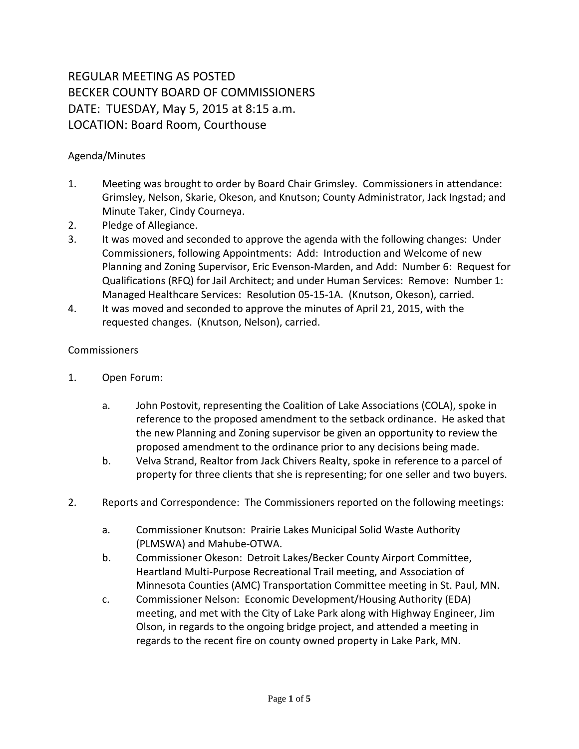## REGULAR MEETING AS POSTED BECKER COUNTY BOARD OF COMMISSIONERS DATE: TUESDAY, May 5, 2015 at 8:15 a.m. LOCATION: Board Room, Courthouse

## Agenda/Minutes

- 1. Meeting was brought to order by Board Chair Grimsley. Commissioners in attendance: Grimsley, Nelson, Skarie, Okeson, and Knutson; County Administrator, Jack Ingstad; and Minute Taker, Cindy Courneya.
- 2. Pledge of Allegiance.
- 3. It was moved and seconded to approve the agenda with the following changes: Under Commissioners, following Appointments: Add: Introduction and Welcome of new Planning and Zoning Supervisor, Eric Evenson-Marden, and Add: Number 6: Request for Qualifications (RFQ) for Jail Architect; and under Human Services: Remove: Number 1: Managed Healthcare Services: Resolution 05-15-1A. (Knutson, Okeson), carried.
- 4. It was moved and seconded to approve the minutes of April 21, 2015, with the requested changes. (Knutson, Nelson), carried.

## **Commissioners**

- 1. Open Forum:
	- a. John Postovit, representing the Coalition of Lake Associations (COLA), spoke in reference to the proposed amendment to the setback ordinance. He asked that the new Planning and Zoning supervisor be given an opportunity to review the proposed amendment to the ordinance prior to any decisions being made.
	- b. Velva Strand, Realtor from Jack Chivers Realty, spoke in reference to a parcel of property for three clients that she is representing; for one seller and two buyers.
- 2. Reports and Correspondence: The Commissioners reported on the following meetings:
	- a. Commissioner Knutson: Prairie Lakes Municipal Solid Waste Authority (PLMSWA) and Mahube-OTWA.
	- b. Commissioner Okeson: Detroit Lakes/Becker County Airport Committee, Heartland Multi-Purpose Recreational Trail meeting, and Association of Minnesota Counties (AMC) Transportation Committee meeting in St. Paul, MN.
	- c. Commissioner Nelson: Economic Development/Housing Authority (EDA) meeting, and met with the City of Lake Park along with Highway Engineer, Jim Olson, in regards to the ongoing bridge project, and attended a meeting in regards to the recent fire on county owned property in Lake Park, MN.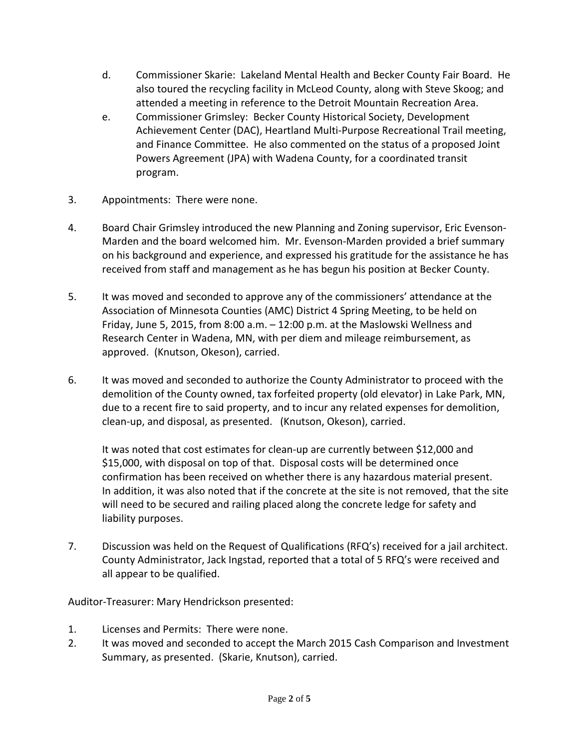- d. Commissioner Skarie: Lakeland Mental Health and Becker County Fair Board. He also toured the recycling facility in McLeod County, along with Steve Skoog; and attended a meeting in reference to the Detroit Mountain Recreation Area.
- e. Commissioner Grimsley: Becker County Historical Society, Development Achievement Center (DAC), Heartland Multi-Purpose Recreational Trail meeting, and Finance Committee. He also commented on the status of a proposed Joint Powers Agreement (JPA) with Wadena County, for a coordinated transit program.
- 3. Appointments: There were none.
- 4. Board Chair Grimsley introduced the new Planning and Zoning supervisor, Eric Evenson-Marden and the board welcomed him. Mr. Evenson-Marden provided a brief summary on his background and experience, and expressed his gratitude for the assistance he has received from staff and management as he has begun his position at Becker County.
- 5. It was moved and seconded to approve any of the commissioners' attendance at the Association of Minnesota Counties (AMC) District 4 Spring Meeting, to be held on Friday, June 5, 2015, from 8:00 a.m. – 12:00 p.m. at the Maslowski Wellness and Research Center in Wadena, MN, with per diem and mileage reimbursement, as approved. (Knutson, Okeson), carried.
- 6. It was moved and seconded to authorize the County Administrator to proceed with the demolition of the County owned, tax forfeited property (old elevator) in Lake Park, MN, due to a recent fire to said property, and to incur any related expenses for demolition, clean-up, and disposal, as presented. (Knutson, Okeson), carried.

It was noted that cost estimates for clean-up are currently between \$12,000 and \$15,000, with disposal on top of that. Disposal costs will be determined once confirmation has been received on whether there is any hazardous material present. In addition, it was also noted that if the concrete at the site is not removed, that the site will need to be secured and railing placed along the concrete ledge for safety and liability purposes.

7. Discussion was held on the Request of Qualifications (RFQ's) received for a jail architect. County Administrator, Jack Ingstad, reported that a total of 5 RFQ's were received and all appear to be qualified.

Auditor-Treasurer: Mary Hendrickson presented:

- 1. Licenses and Permits: There were none.
- 2. It was moved and seconded to accept the March 2015 Cash Comparison and Investment Summary, as presented. (Skarie, Knutson), carried.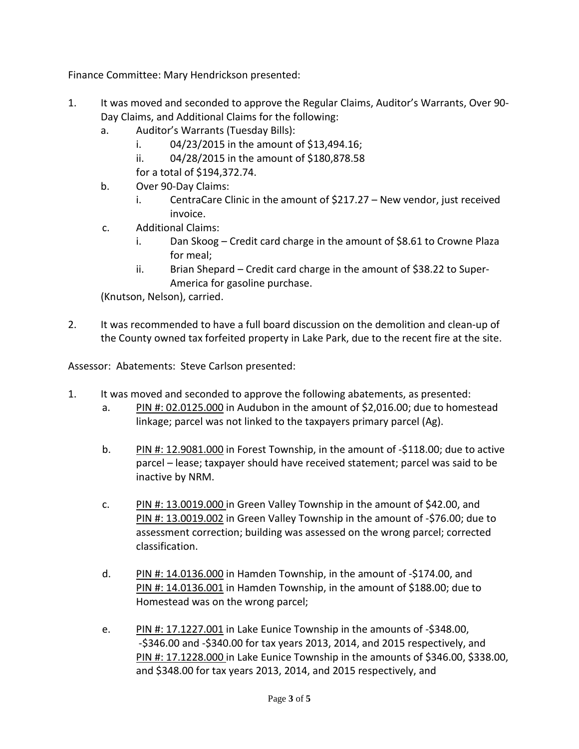Finance Committee: Mary Hendrickson presented:

- 1. It was moved and seconded to approve the Regular Claims, Auditor's Warrants, Over 90- Day Claims, and Additional Claims for the following:
	- a. Auditor's Warrants (Tuesday Bills):
		- i.  $04/23/2015$  in the amount of \$13,494.16;
		- ii. 04/28/2015 in the amount of \$180,878.58

for a total of \$194,372.74.

- b. Over 90-Day Claims:
	- i. CentraCare Clinic in the amount of \$217.27 New vendor, just received invoice.
- c. Additional Claims:
	- i. Dan Skoog Credit card charge in the amount of \$8.61 to Crowne Plaza for meal;
	- ii. Brian Shepard Credit card charge in the amount of \$38.22 to Super-America for gasoline purchase.

(Knutson, Nelson), carried.

2. It was recommended to have a full board discussion on the demolition and clean-up of the County owned tax forfeited property in Lake Park, due to the recent fire at the site.

Assessor: Abatements: Steve Carlson presented:

- 1. It was moved and seconded to approve the following abatements, as presented:
	- a. PIN #:  $02.0125.000$  in Audubon in the amount of \$2,016.00; due to homestead linkage; parcel was not linked to the taxpayers primary parcel (Ag).
	- b. PIN #: 12.9081.000 in Forest Township, in the amount of -\$118.00; due to active parcel – lease; taxpayer should have received statement; parcel was said to be inactive by NRM.
	- c. PIN #: 13.0019.000 in Green Valley Township in the amount of \$42.00, and PIN #: 13.0019.002 in Green Valley Township in the amount of -\$76.00; due to assessment correction; building was assessed on the wrong parcel; corrected classification.
	- d. PIN #: 14.0136.000 in Hamden Township, in the amount of -\$174.00, and PIN #: 14.0136.001 in Hamden Township, in the amount of \$188.00; due to Homestead was on the wrong parcel;
	- e. PIN #: 17.1227.001 in Lake Eunice Township in the amounts of -\$348.00, -\$346.00 and -\$340.00 for tax years 2013, 2014, and 2015 respectively, and PIN #: 17.1228.000 in Lake Eunice Township in the amounts of \$346.00, \$338.00, and \$348.00 for tax years 2013, 2014, and 2015 respectively, and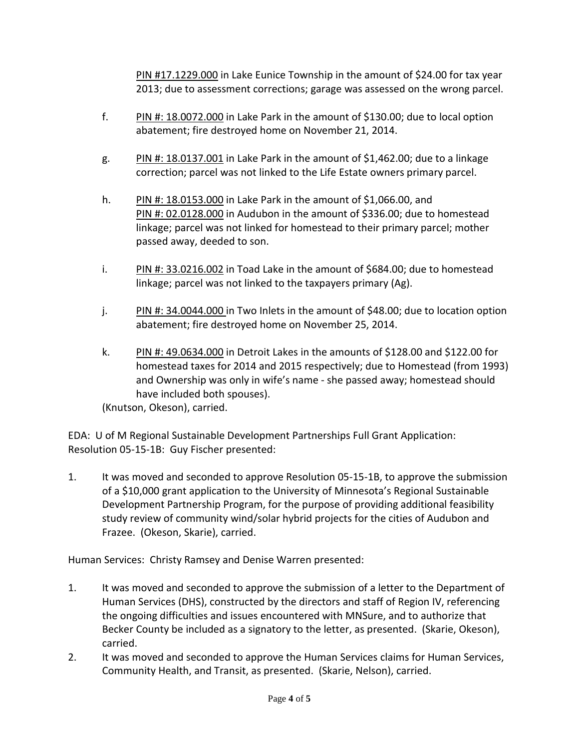PIN #17.1229.000 in Lake Eunice Township in the amount of \$24.00 for tax year 2013; due to assessment corrections; garage was assessed on the wrong parcel.

- f. PIN #: 18.0072.000 in Lake Park in the amount of \$130.00; due to local option abatement; fire destroyed home on November 21, 2014.
- g. PIN #: 18.0137.001 in Lake Park in the amount of \$1,462.00; due to a linkage correction; parcel was not linked to the Life Estate owners primary parcel.
- h. PIN #: 18.0153.000 in Lake Park in the amount of \$1,066.00, and PIN #: 02.0128.000 in Audubon in the amount of \$336.00; due to homestead linkage; parcel was not linked for homestead to their primary parcel; mother passed away, deeded to son.
- i. PIN #: 33.0216.002 in Toad Lake in the amount of \$684.00; due to homestead linkage; parcel was not linked to the taxpayers primary (Ag).
- j. PIN #: 34.0044.000 in Two Inlets in the amount of \$48.00; due to location option abatement; fire destroyed home on November 25, 2014.
- k. PIN #: 49.0634.000 in Detroit Lakes in the amounts of \$128.00 and \$122.00 for homestead taxes for 2014 and 2015 respectively; due to Homestead (from 1993) and Ownership was only in wife's name - she passed away; homestead should have included both spouses).

(Knutson, Okeson), carried.

EDA: U of M Regional Sustainable Development Partnerships Full Grant Application: Resolution 05-15-1B: Guy Fischer presented:

1. It was moved and seconded to approve Resolution 05-15-1B, to approve the submission of a \$10,000 grant application to the University of Minnesota's Regional Sustainable Development Partnership Program, for the purpose of providing additional feasibility study review of community wind/solar hybrid projects for the cities of Audubon and Frazee. (Okeson, Skarie), carried.

Human Services: Christy Ramsey and Denise Warren presented:

- 1. It was moved and seconded to approve the submission of a letter to the Department of Human Services (DHS), constructed by the directors and staff of Region IV, referencing the ongoing difficulties and issues encountered with MNSure, and to authorize that Becker County be included as a signatory to the letter, as presented. (Skarie, Okeson), carried.
- 2. It was moved and seconded to approve the Human Services claims for Human Services, Community Health, and Transit, as presented. (Skarie, Nelson), carried.